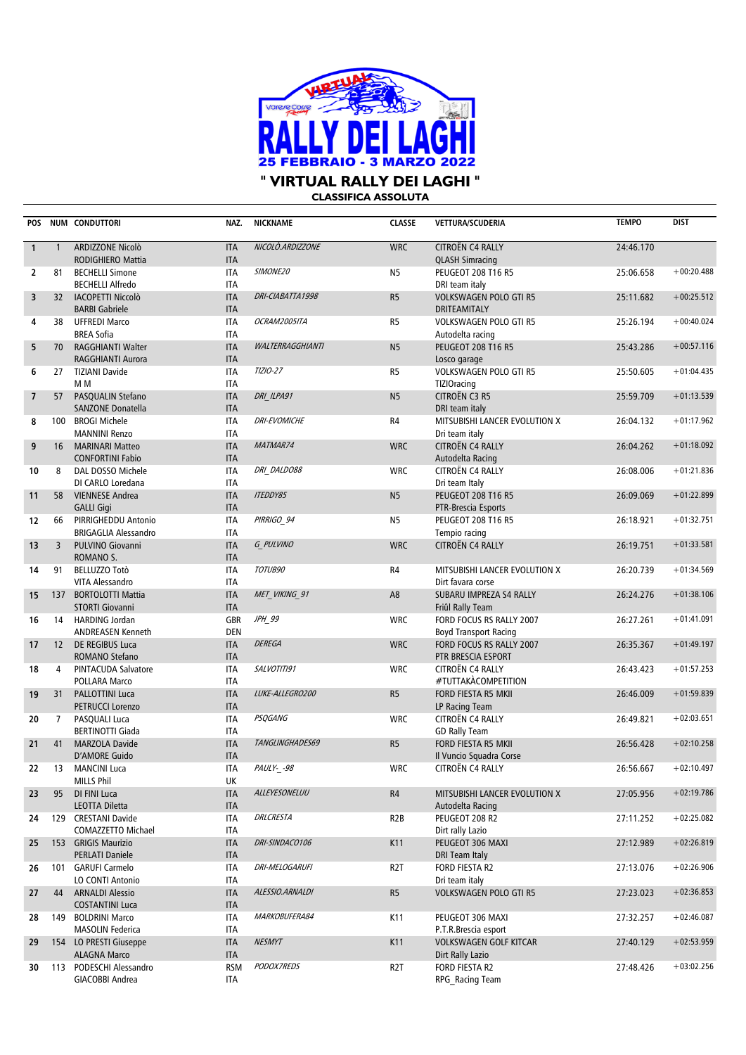

**CLASSIFICA ASSOLUTA**

| POS            |                | <b>NUM CONDUTTORI</b>                              | NAZ.                     | <b>NICKNAME</b>         | <b>CLASSE</b>    | <b>VETTURA/SCUDERIA</b>                                  | <b>TEMPO</b> | <b>DIST</b>  |
|----------------|----------------|----------------------------------------------------|--------------------------|-------------------------|------------------|----------------------------------------------------------|--------------|--------------|
| $\mathbf{1}$   | $\mathbf{1}$   | ARDIZZONE Nicolò<br>RODIGHIERO Mattia              | <b>ITA</b><br><b>ITA</b> | NICOLO.ARDIZZONE        | <b>WRC</b>       | CITROËN C4 RALLY<br><b>QLASH Simracing</b>               | 24:46.170    |              |
| $\overline{2}$ | 81             | <b>BECHELLI Simone</b><br><b>BECHELLI Alfredo</b>  | <b>ITA</b><br><b>ITA</b> | SIMONE20                | N <sub>5</sub>   | <b>PEUGEOT 208 T16 R5</b><br>DRI team italy              | 25:06.658    | $+00:20.488$ |
| 3              | 32             | <b>IACOPETTI Niccolò</b><br><b>BARBI Gabriele</b>  | <b>ITA</b><br><b>ITA</b> | DRI-CIABATTA1998        | R <sub>5</sub>   | <b>VOLKSWAGEN POLO GTI R5</b><br>DRITEAMITALY            | 25:11.682    | $+00:25.512$ |
| 4              | 38             | <b>UFFREDI Marco</b><br><b>BREA Sofia</b>          | <b>ITA</b><br><b>ITA</b> | OCRAM2005ITA            | R <sub>5</sub>   | <b>VOLKSWAGEN POLO GTI R5</b><br>Autodelta racing        | 25:26.194    | $+00:40.024$ |
| 5              | 70             | RAGGHIANTI Walter<br>RAGGHIANTI Aurora             | <b>ITA</b><br><b>ITA</b> | <b>WALTERRAGGHIANTI</b> | N <sub>5</sub>   | <b>PEUGEOT 208 T16 R5</b><br>Losco garage                | 25:43.286    | $+00:57.116$ |
| 6              | 27             | <b>TIZIANI Davide</b><br>M M                       | <b>ITA</b><br><b>ITA</b> | TIZIO-27                | R <sub>5</sub>   | <b>VOLKSWAGEN POLO GTI R5</b><br><b>TIZIOracing</b>      | 25:50.605    | $+01:04.435$ |
| $\overline{7}$ | 57             | PASQUALIN Stefano<br>SANZONE Donatella             | <b>ITA</b><br><b>ITA</b> | DRI ILPA91              | N <sub>5</sub>   | CITROËN C3 R5<br>DRI team italy                          | 25:59.709    | $+01:13.539$ |
| 8              | 100            | <b>BROGI Michele</b><br><b>MANNINI Renzo</b>       | <b>ITA</b><br><b>ITA</b> | <b>DRI-EVOMICHE</b>     | R4               | MITSUBISHI LANCER EVOLUTION X<br>Dri team italy          | 26:04.132    | $+01:17.962$ |
| 9              | 16             | <b>MARINARI Matteo</b><br><b>CONFORTINI Fabio</b>  | <b>ITA</b><br><b>ITA</b> | MATMAR74                | <b>WRC</b>       | CITROËN C4 RALLY<br>Autodelta Racing                     | 26:04.262    | $+01:18.092$ |
| 10             | 8              | DAL DOSSO Michele<br>DI CARLO Loredana             | <b>ITA</b><br><b>ITA</b> | DRI DALDO88             | <b>WRC</b>       | CITROËN C4 RALLY<br>Dri team Italy                       | 26:08.006    | $+01:21.836$ |
| 11             | 58             | <b>VIENNESE Andrea</b><br><b>GALLI Gigi</b>        | <b>ITA</b><br><b>ITA</b> | <b>ITEDDY85</b>         | N <sub>5</sub>   | <b>PEUGEOT 208 T16 R5</b><br>PTR-Brescia Esports         | 26:09.069    | $+01:22.899$ |
| 12             | 66             | PIRRIGHEDDU Antonio<br><b>BRIGAGLIA Alessandro</b> | <b>ITA</b><br><b>ITA</b> | PIRRIGO_94              | <b>N5</b>        | <b>PEUGEOT 208 T16 R5</b><br>Tempio racing               | 26:18.921    | $+01:32.751$ |
| 13             | $\overline{3}$ | PULVINO Giovanni<br>ROMANO S.                      | <b>ITA</b><br><b>ITA</b> | G PULVINO               | <b>WRC</b>       | CITROËN C4 RALLY                                         | 26:19.751    | $+01:33.581$ |
| 14             | 91             | <b>BELLUZZO Totò</b><br>VITA Alessandro            | <b>ITA</b><br><b>ITA</b> | TOTUB90                 | R4               | MITSUBISHI LANCER EVOLUTION X<br>Dirt favara corse       | 26:20.739    | $+01:34.569$ |
| 15             | 137            | <b>BORTOLOTTI Mattia</b><br><b>STORTI Giovanni</b> | <b>ITA</b><br><b>ITA</b> | MET VIKING 91           | A <sub>8</sub>   | SUBARU IMPREZA S4 RALLY<br>Friûl Rally Team              | 26:24.276    | $+01:38.106$ |
| 16             | 14             | <b>HARDING Jordan</b><br><b>ANDREASEN Kenneth</b>  | GBR<br>DEN               | JPH 99                  | <b>WRC</b>       | FORD FOCUS RS RALLY 2007<br><b>Boyd Transport Racing</b> | 26:27.261    | $+01:41.091$ |
| 17             | 12             | DE REGIBUS Luca<br>ROMANO Stefano                  | <b>ITA</b><br><b>ITA</b> | <b>DEREGA</b>           | <b>WRC</b>       | FORD FOCUS RS RALLY 2007<br>PTR BRESCIA ESPORT           | 26:35.367    | $+01:49.197$ |
| 18             | 4              | PINTACUDA Salvatore<br>POLLARA Marco               | <b>ITA</b><br><b>ITA</b> | SALVOTITI91             | <b>WRC</b>       | CITROËN C4 RALLY<br>#TUTTAKACOMPETITION                  | 26:43.423    | $+01:57.253$ |
| 19             | 31             | <b>PALLOTTINI Luca</b><br><b>PETRUCCI Lorenzo</b>  | <b>ITA</b><br><b>ITA</b> | LUKE-ALLEGRO200         | R <sub>5</sub>   | FORD FIESTA R5 MKII<br>LP Racing Team                    | 26:46.009    | $+01:59.839$ |
| 20             | $\overline{7}$ | PASQUALI Luca<br><b>BERTINOTTI Giada</b>           | <b>ITA</b><br><b>ITA</b> | <b>PSQGANG</b>          | <b>WRC</b>       | CITROËN C4 RALLY<br><b>GD Rally Team</b>                 | 26:49.821    | $+02:03.651$ |
| 21             | 41             | <b>MARZOLA Davide</b><br>D'AMORE Guido             | <b>ITA</b><br><b>ITA</b> | TANGLINGHADES69         | R <sub>5</sub>   | FORD FIESTA R5 MKII<br>Il Vuncio Squadra Corse           | 26:56.428    | $+02:10.258$ |
| 22             | 13             | <b>MANCINI Luca</b><br><b>MILLS Phil</b>           | <b>ITA</b><br>UK         | PAULY-_-98              | <b>WRC</b>       | CITROËN C4 RALLY                                         | 26:56.667    | $+02:10.497$ |
| 23             | 95             | DI FINI Luca<br><b>LEOTTA Diletta</b>              | <b>ITA</b><br><b>ITA</b> | ALLEYESONELUU           | R4               | MITSUBISHI LANCER EVOLUTION X<br>Autodelta Racing        | 27:05.956    | $+02:19.786$ |
| 24             | 129            | <b>CRESTANI Davide</b><br>COMAZZETTO Michael       | <b>ITA</b><br>ITA        | DRLCRESTA               | R <sub>2</sub> B | PEUGEOT 208 R2<br>Dirt rally Lazio                       | 27:11.252    | $+02:25.082$ |
| 25             |                | 153 GRIGIS Maurizio<br><b>PERLATI Daniele</b>      | <b>ITA</b><br><b>ITA</b> | DRI-SINDACO106          | K11              | PEUGEOT 306 MAXI<br>DRI Team Italy                       | 27:12.989    | $+02:26.819$ |
| 26             | 101            | <b>GARUFI Carmelo</b><br>LO CONTI Antonio          | ITA<br><b>ITA</b>        | DRI-MELOGARUFI          | R <sub>2</sub> T | FORD FIESTA R2<br>Dri team italy                         | 27:13.076    | $+02:26.906$ |
| 27             | 44             | <b>ARNALDI Alessio</b><br><b>COSTANTINI Luca</b>   | <b>ITA</b><br><b>ITA</b> | ALESSIO.ARNALDI         | R <sub>5</sub>   | <b>VOLKSWAGEN POLO GTI R5</b>                            | 27:23.023    | $+02:36.853$ |
| 28             | 149            | <b>BOLDRINI Marco</b><br><b>MASOLIN Federica</b>   | ITA<br>ITA               | MARKOBUFERA84           | K11              | PEUGEOT 306 MAXI<br>P.T.R.Brescia esport                 | 27:32.257    | $+02:46.087$ |
| 29             |                | 154 LO PRESTI Giuseppe<br><b>ALAGNA Marco</b>      | <b>ITA</b><br><b>ITA</b> | <b>NESMYT</b>           | K11              | <b>VOLKSWAGEN GOLF KITCAR</b><br>Dirt Rally Lazio        | 27:40.129    | $+02:53.959$ |
| 30             |                | 113 PODESCHI Alessandro<br>GIACOBBI Andrea         | <b>RSM</b><br><b>ITA</b> | PODOX7REDS              | R2T              | FORD FIESTA R2<br>RPG Racing Team                        | 27:48.426    | $+03:02.256$ |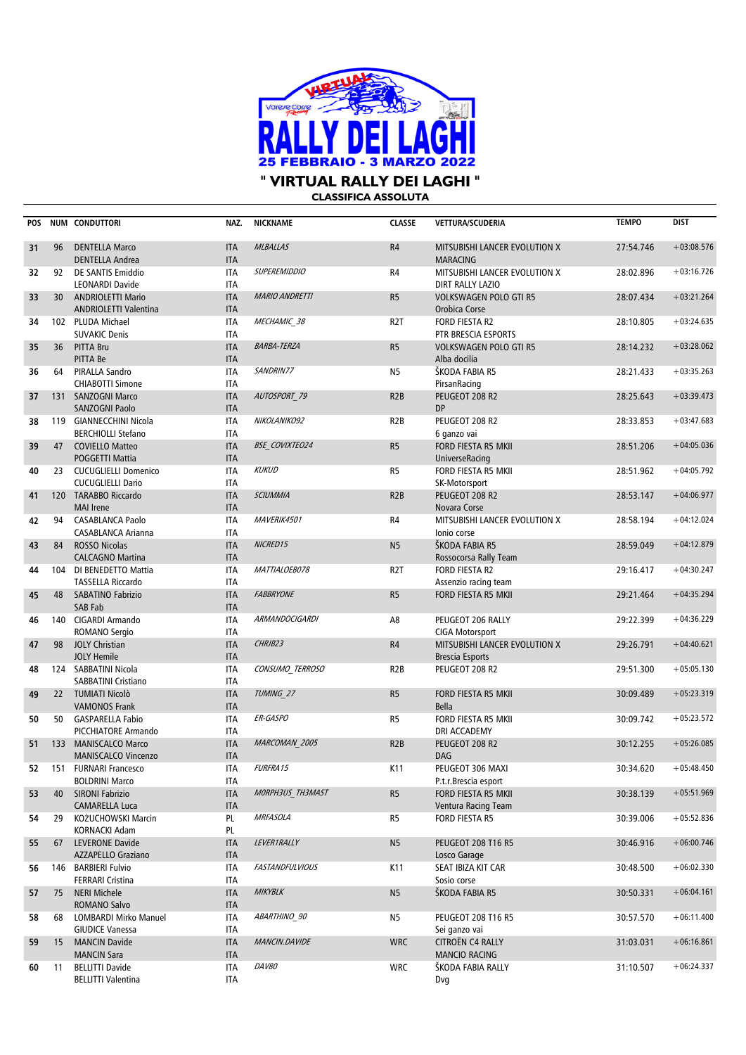

**CLASSIFICA ASSOLUTA** 

| POS |     | <b>NUM CONDUTTORI</b>                                    | NAZ.                     | <b>NICKNAME</b>        | <b>CLASSE</b>    | VETTURA/SCUDERIA                                         | <b>TEMPO</b> | <b>DIST</b>  |
|-----|-----|----------------------------------------------------------|--------------------------|------------------------|------------------|----------------------------------------------------------|--------------|--------------|
| 31  | 96  | <b>DENTELLA Marco</b><br><b>DENTELLA Andrea</b>          | <b>ITA</b><br><b>ITA</b> | <b>MLBALLAS</b>        | R4               | MITSUBISHI LANCER EVOLUTION X<br><b>MARACING</b>         | 27:54.746    | $+03:08.576$ |
| 32  | 92  | DE SANTIS Emiddio<br><b>LEONARDI Davide</b>              | <b>ITA</b><br>ITA        | <b>SUPEREMIDDIO</b>    | R4               | MITSUBISHI LANCER EVOLUTION X<br><b>DIRT RALLY LAZIO</b> | 28:02.896    | $+03:16.726$ |
| 33  | 30  | <b>ANDRIOLETTI Mario</b><br><b>ANDRIOLETTI Valentina</b> | <b>ITA</b><br><b>ITA</b> | <b>MARIO ANDRETTI</b>  | R <sub>5</sub>   | <b>VOLKSWAGEN POLO GTI R5</b><br>Orobica Corse           | 28:07.434    | $+03:21.264$ |
| 34  |     | 102 PLUDA Michael<br><b>SUVAKIC Denis</b>                | <b>ITA</b><br><b>ITA</b> | <i>MECHAMIC 38</i>     | R <sub>2</sub> T | FORD FIESTA R2<br>PTR BRESCIA ESPORTS                    | 28:10.805    | $+03:24.635$ |
| 35  | 36  | <b>PITTA Bru</b><br>PITTA Be                             | <b>ITA</b><br><b>ITA</b> | <b>BARBA-TERZA</b>     | R <sub>5</sub>   | <b>VOLKSWAGEN POLO GTI R5</b><br>Alba docilia            | 28:14.232    | $+03:28.062$ |
| 36  | 64  | PIRALLA Sandro<br>CHIABOTTI Simone                       | <b>ITA</b><br><b>ITA</b> | SANDRIN77              | N <sub>5</sub>   | ŠKODA FABIA R5<br>PirsanRacing                           | 28:21.433    | $+03:35.263$ |
| 37  | 131 | <b>SANZOGNI Marco</b><br><b>SANZOGNI Paolo</b>           | <b>ITA</b><br><b>ITA</b> | AUTOSPORT_79           | R2B              | PEUGEOT 208 R2<br><b>DP</b>                              | 28:25.643    | $+03:39.473$ |
| 38  |     | 119 GIANNECCHINI Nicola<br><b>BERCHIOLLI Stefano</b>     | <b>ITA</b><br><b>ITA</b> | NIKOLANIKO92           | R <sub>2</sub> B | PEUGEOT 208 R2<br>6 ganzo vai                            | 28:33.853    | $+03:47.683$ |
| 39  | 47  | <b>COVIELLO Matteo</b><br><b>POGGETTI Mattia</b>         | <b>ITA</b><br><b>ITA</b> | <b>BSE COVIXTEO24</b>  | R <sub>5</sub>   | FORD FIESTA R5 MKII<br>UniverseRacing                    | 28:51.206    | $+04:05.036$ |
| 40  | 23  | <b>CUCUGLIELLI Domenico</b><br><b>CUCUGLIELLI Dario</b>  | <b>ITA</b><br><b>ITA</b> | <b>KUKUD</b>           | R <sub>5</sub>   | FORD FIESTA R5 MKII<br>SK-Motorsport                     | 28:51.962    | $+04:05.792$ |
| 41  |     | 120 TARABBO Riccardo<br><b>MAI</b> Irene                 | <b>ITA</b><br><b>ITA</b> | <b>SCIUMMIA</b>        | R <sub>2</sub> B | PEUGEOT 208 R2<br>Novara Corse                           | 28:53.147    | $+04:06.977$ |
| 42  | 94  | <b>CASABLANCA Paolo</b><br><b>CASABLANCA Arianna</b>     | <b>ITA</b><br><b>ITA</b> | MAVERIK4501            | R4               | MITSUBISHI LANCER EVOLUTION X<br>Ionio corse             | 28:58.194    | $+04:12.024$ |
| 43  | 84  | <b>ROSSO Nicolas</b><br><b>CALCAGNO Martina</b>          | <b>ITA</b><br><b>ITA</b> | NICRED15               | N <sub>5</sub>   | ŠKODA FABIA R5<br>Rossocorsa Rally Team                  | 28:59.049    | $+04:12.879$ |
| 44  |     | 104 DI BENEDETTO Mattia<br><b>TASSELLA Riccardo</b>      | <b>ITA</b><br><b>ITA</b> | MATTIALOEB078          | R <sub>2</sub> T | <b>FORD FIESTA R2</b><br>Assenzio racing team            | 29:16.417    | $+04:30.247$ |
| 45  | 48  | <b>SABATINO Fabrizio</b><br>SAB Fab                      | <b>ITA</b><br><b>ITA</b> | <b>FABBRYONE</b>       | R <sub>5</sub>   | FORD FIESTA R5 MKII                                      | 29:21.464    | $+04:35.294$ |
| 46  |     | 140 CIGARDI Armando<br>ROMANO Sergio                     | <b>ITA</b><br><b>ITA</b> | ARMANDOCIGARDI         | A8               | PEUGEOT 206 RALLY<br>CIGA Motorsport                     | 29:22.399    | $+04:36.229$ |
| 47  | 98  | <b>JOLY Christian</b><br><b>JOLY Hemile</b>              | <b>ITA</b><br><b>ITA</b> | CHRJB23                | R4               | MITSUBISHI LANCER EVOLUTION X<br><b>Brescia Esports</b>  | 29:26.791    | $+04:40.621$ |
| 48  |     | 124 SABBATINI Nicola<br><b>SABBATINI Cristiano</b>       | <b>ITA</b><br><b>ITA</b> | CONSUMO TERROSO        | R <sub>2</sub> B | PEUGEOT 208 R2                                           | 29:51.300    | $+05:05.130$ |
| 49  |     | 22 TUMIATI Nicolò<br><b>VAMONOS Frank</b>                | <b>ITA</b><br><b>ITA</b> | TUMING 27              | R <sub>5</sub>   | FORD FIESTA R5 MKII<br>Bella                             | 30:09.489    | $+05:23.319$ |
| 50  | 50  | <b>GASPARELLA Fabio</b><br>PICCHIATORE Armando           | <b>ITA</b><br><b>ITA</b> | ER-GASPO               | R <sub>5</sub>   | FORD FIESTA R5 MKII<br>DRI ACCADEMY                      | 30:09.742    | $+05:23.572$ |
| 51  |     | 133 MANISCALCO Marco<br><b>MANISCALCO Vincenzo</b>       | <b>ITA</b><br><b>ITA</b> | MARCOMAN 2005          | R2B              | PEUGEOT 208 R2<br><b>DAG</b>                             | 30:12.255    | $+05:26.085$ |
| 52  |     | 151 FURNARI Francesco<br><b>BOLDRINI Marco</b>           | <b>ITA</b><br><b>ITA</b> | FURFRA15               | K11              | PEUGEOT 306 MAXI<br>P.t.r.Brescia esport                 | 30:34.620    | $+05:48.450$ |
| 53  | 40  | <b>SIRONI Fabrizio</b><br><b>CAMARELLA Luca</b>          | <b>ITA</b><br><b>ITA</b> | MORPH3US TH3MAST       | R <sub>5</sub>   | FORD FIESTA R5 MKII<br>Ventura Racing Team               | 30:38.139    | $+05:51.969$ |
| 54  | 29  | KOŻUCHOWSKI Marcin<br>KORNACKI Adam                      | PL<br>PL                 | <b>MRFASOLA</b>        | R <sub>5</sub>   | FORD FIESTA R5                                           | 30:39.006    | $+05:52.836$ |
| 55  | 67  | LEVERONE Davide<br>AZZAPELLO Graziano                    | <b>ITA</b><br><b>ITA</b> | LEVER1RALLY            | N <sub>5</sub>   | <b>PEUGEOT 208 T16 R5</b><br>Losco Garage                | 30:46.916    | $+06:00.746$ |
| 56  |     | 146 BARBIERI Fulvio<br><b>FERRARI Cristina</b>           | ITA<br><b>ITA</b>        | <b>FASTANDFULVIOUS</b> | K11              | SEAT IBIZA KIT CAR<br>Sosio corse                        | 30:48.500    | $+06:02.330$ |
| 57  | 75  | <b>NERI Michele</b><br>ROMANO Salvo                      | <b>ITA</b><br><b>ITA</b> | <b>MIKYBLK</b>         | N <sub>5</sub>   | ŠKODA FABIA R5                                           | 30:50.331    | $+06:04.161$ |
| 58  | 68  | LOMBARDI Mirko Manuel<br><b>GIUDICE Vanessa</b>          | <b>ITA</b><br><b>ITA</b> | ABARTHINO 90           | N5               | <b>PEUGEOT 208 T16 R5</b><br>Sei ganzo vai               | 30:57.570    | $+06:11.400$ |
| 59  | 15  | <b>MANCIN Davide</b><br><b>MANCIN Sara</b>               | <b>ITA</b><br><b>ITA</b> | MANCIN.DAVIDE          | <b>WRC</b>       | <b>CITROËN C4 RALLY</b><br><b>MANCIO RACING</b>          | 31:03.031    | $+06:16.861$ |
| 60  | 11  | <b>BELLITTI Davide</b><br><b>BELLITTI Valentina</b>      | <b>ITA</b><br><b>ITA</b> | <b>DAV80</b>           | <b>WRC</b>       | ŠKODA FABIA RALLY<br>Dvg                                 | 31:10.507    | $+06:24.337$ |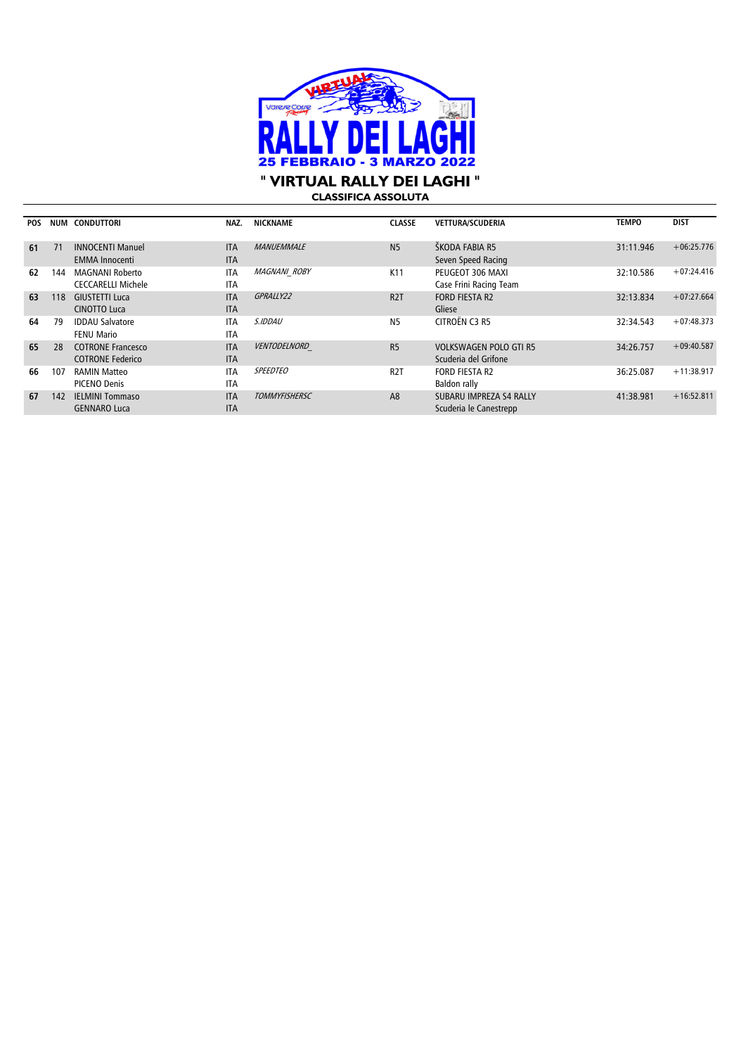

## **" VIRTUAL RALLY DEI LAGHI "**

**CLASSIFICA ASSOLUTA**

| <b>POS</b> | NUM | <b>CONDUTTORI</b>         | NAZ.       | <b>NICKNAME</b>      | <b>CLASSE</b>    | <b>VETTURA/SCUDERIA</b>       | <b>TEMPO</b> | <b>DIST</b>  |
|------------|-----|---------------------------|------------|----------------------|------------------|-------------------------------|--------------|--------------|
| 61         | 71  | <b>INNOCENTI Manuel</b>   | <b>ITA</b> | <b>MANUEMMALE</b>    | N <sub>5</sub>   | ŠKODA FABIA R5                | 31:11.946    | $+06:25.776$ |
|            |     | <b>EMMA Innocenti</b>     | <b>ITA</b> |                      |                  | Seven Speed Racing            |              |              |
| 62         | 144 | <b>MAGNANI Roberto</b>    | <b>ITA</b> | <b>MAGNANI ROBY</b>  | K <sub>11</sub>  | PEUGEOT 306 MAXI              | 32:10.586    | $+07:24.416$ |
|            |     | <b>CECCARELLI Michele</b> | <b>ITA</b> |                      |                  | Case Frini Racing Team        |              |              |
| 63         | 118 | <b>GIUSTETTI Luca</b>     | <b>ITA</b> | GPRALLY22            | R <sub>2</sub> T | <b>FORD FIESTA R2</b>         | 32:13.834    | $+07:27.664$ |
|            |     | <b>CINOTTO Luca</b>       | <b>ITA</b> |                      |                  | Gliese                        |              |              |
| 64         | 79  | <b>IDDAU Salvatore</b>    | <b>ITA</b> | <i>S.IDDAU</i>       | N <sub>5</sub>   | CITROËN C3 R5                 | 32:34.543    | $+07:48.373$ |
|            |     | <b>FENU Mario</b>         | <b>ITA</b> |                      |                  |                               |              |              |
| 65         | 28  | <b>COTRONE Francesco</b>  | <b>ITA</b> | VENTODELNORD         | R <sub>5</sub>   | <b>VOLKSWAGEN POLO GTI R5</b> | 34:26.757    | $+09:40.587$ |
|            |     | <b>COTRONE Federico</b>   | <b>ITA</b> |                      |                  | Scuderia del Grifone          |              |              |
| 66         | 107 | <b>RAMIN Matteo</b>       | <b>ITA</b> | <b>SPEEDTEO</b>      | R <sub>2</sub> T | <b>FORD FIESTA R2</b>         | 36:25.087    | $+11:38.917$ |
|            |     | <b>PICENO Denis</b>       | <b>ITA</b> |                      |                  | Baldon rally                  |              |              |
| 67         | 142 | <b>IELMINI Tommaso</b>    | <b>ITA</b> | <b>TOMMYFISHERSC</b> | A <sub>8</sub>   | SUBARU IMPREZA S4 RALLY       | 41:38.981    | $+16:52.811$ |
|            |     | <b>GENNARO Luca</b>       | <b>ITA</b> |                      |                  | Scuderia le Canestrepp        |              |              |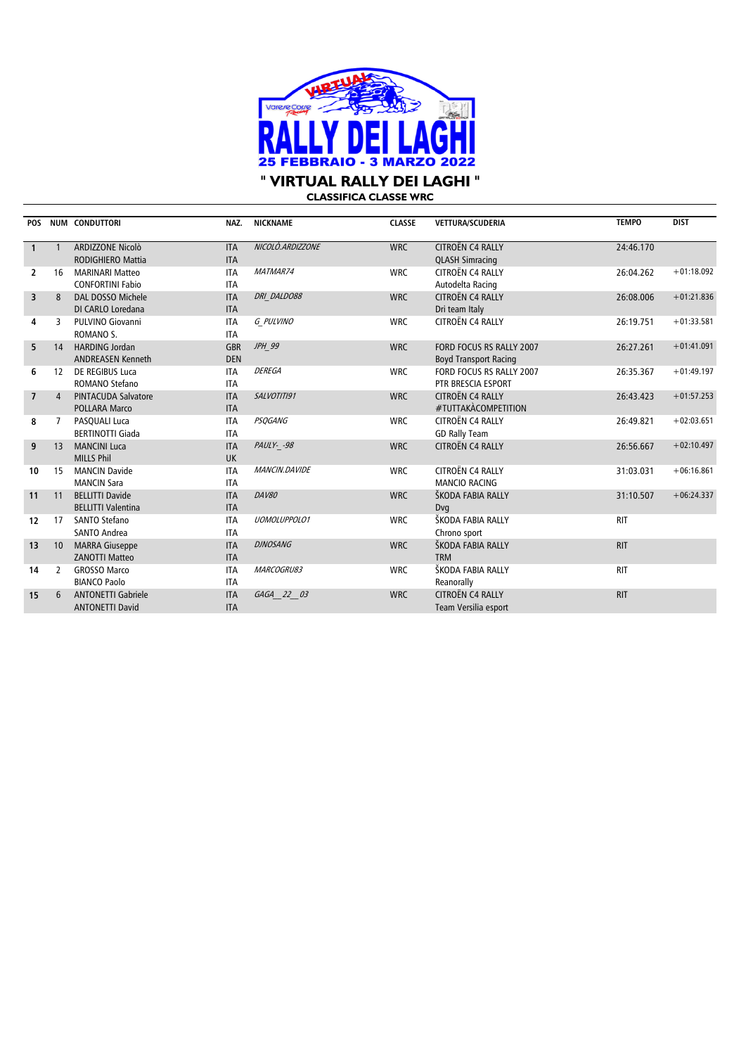

**CLASSIFICA CLASSE WRC**

| <b>POS</b>     |                | <b>NUM CONDUTTORI</b>      | NAZ.       | <b>NICKNAME</b>     | <b>CLASSE</b> | VETTURA/SCUDERIA             | <b>TEMPO</b> | <b>DIST</b>  |
|----------------|----------------|----------------------------|------------|---------------------|---------------|------------------------------|--------------|--------------|
|                |                |                            |            |                     |               |                              |              |              |
| $\mathbf{1}$   |                | ARDIZZONE Nicolò           | <b>ITA</b> | NICOLO.ARDIZZONE    | <b>WRC</b>    | <b>CITROËN C4 RALLY</b>      | 24:46.170    |              |
|                |                | <b>RODIGHIERO Mattia</b>   | <b>ITA</b> |                     |               | <b>QLASH Simracing</b>       |              |              |
| 2              | 16             | <b>MARINARI Matteo</b>     | <b>ITA</b> | MATMAR74            | <b>WRC</b>    | CITROËN C4 RALLY             | 26:04.262    | $+01:18.092$ |
|                |                | <b>CONFORTINI Fabio</b>    | <b>ITA</b> |                     |               | Autodelta Racing             |              |              |
| $\overline{3}$ | 8              | DAL DOSSO Michele          | <b>ITA</b> | DRI DALDO88         | <b>WRC</b>    | CITROËN C4 RALLY             | 26:08.006    | $+01:21.836$ |
|                |                | DI CARLO Loredana          | <b>ITA</b> |                     |               | Dri team Italy               |              |              |
| 4              | 3              | <b>PULVINO Giovanni</b>    | <b>ITA</b> | G PULVINO           | <b>WRC</b>    | CITROËN C4 RALLY             | 26:19.751    | $+01:33.581$ |
|                |                | ROMANO <sub>S</sub> .      | <b>ITA</b> |                     |               |                              |              |              |
| 5              | 14             | <b>HARDING Jordan</b>      | <b>GBR</b> | JPH 99              | <b>WRC</b>    | FORD FOCUS RS RALLY 2007     | 26:27.261    | $+01:41.091$ |
|                |                | <b>ANDREASEN Kenneth</b>   | <b>DEN</b> |                     |               | <b>Boyd Transport Racing</b> |              |              |
| 6              | 12             | DE REGIBUS Luca            | <b>ITA</b> | <b>DEREGA</b>       | <b>WRC</b>    | FORD FOCUS RS RALLY 2007     | 26:35.367    | $+01:49.197$ |
|                |                | ROMANO Stefano             | <b>ITA</b> |                     |               | PTR BRESCIA ESPORT           |              |              |
| $\overline{7}$ | $\overline{4}$ | <b>PINTACUDA Salvatore</b> | <b>ITA</b> | SALVOTITI91         | <b>WRC</b>    | <b>CITROËN C4 RALLY</b>      | 26:43.423    | $+01:57.253$ |
|                |                | <b>POLLARA Marco</b>       | <b>ITA</b> |                     |               | #TUTTAKÀCOMPETITION          |              |              |
| 8              | 7              | PASQUALI Luca              | <b>ITA</b> | <b>PSQGANG</b>      | <b>WRC</b>    | CITROËN C4 RALLY             | 26:49.821    | $+02:03.651$ |
|                |                | <b>BERTINOTTI Giada</b>    | <b>ITA</b> |                     |               | <b>GD Rally Team</b>         |              |              |
| 9              | 13             | <b>MANCINI Luca</b>        | <b>ITA</b> | PAULY- -98          | <b>WRC</b>    | CITROËN C4 RALLY             | 26:56.667    | $+02:10.497$ |
|                |                | <b>MILLS Phil</b>          | <b>UK</b>  |                     |               |                              |              |              |
| 10             | 15             | <b>MANCIN Davide</b>       | <b>ITA</b> | MANCIN.DAVIDE       | <b>WRC</b>    | CITROËN C4 RALLY             | 31:03.031    | $+06:16.861$ |
|                |                | <b>MANCIN Sara</b>         | <b>ITA</b> |                     |               | <b>MANCIO RACING</b>         |              |              |
| 11             | 11             | <b>BELLITTI Davide</b>     | <b>ITA</b> | <b>DAV80</b>        | <b>WRC</b>    | ŠKODA FABIA RALLY            | 31:10.507    | $+06:24.337$ |
|                |                | <b>BELLITTI Valentina</b>  | <b>ITA</b> |                     |               | Dvg                          |              |              |
| 12             | 17             | SANTO Stefano              | <b>ITA</b> | <b>UOMOLUPPOLO1</b> | <b>WRC</b>    | ŠKODA FABIA RALLY            | <b>RIT</b>   |              |
|                |                | <b>SANTO Andrea</b>        | <b>ITA</b> |                     |               | Chrono sport                 |              |              |
| 13             | 10             | <b>MARRA Giuseppe</b>      | <b>ITA</b> | <b>DJNOSANG</b>     | <b>WRC</b>    | ŠKODA FABIA RALLY            | <b>RIT</b>   |              |
|                |                | <b>ZANOTTI Matteo</b>      | <b>ITA</b> |                     |               | <b>TRM</b>                   |              |              |
| 14             | $\overline{2}$ | <b>GROSSO Marco</b>        | <b>ITA</b> | MARCOGRU83          | <b>WRC</b>    | ŠKODA FABIA RALLY            | <b>RIT</b>   |              |
|                |                | <b>BIANCO Paolo</b>        | <b>ITA</b> |                     |               | Reanorally                   |              |              |
| 15             | 6              | <b>ANTONETTI Gabriele</b>  | <b>ITA</b> | GAGA 22 03          | <b>WRC</b>    | <b>CITROËN C4 RALLY</b>      | <b>RIT</b>   |              |
|                |                | <b>ANTONETTI David</b>     | <b>ITA</b> |                     |               | Team Versilia esport         |              |              |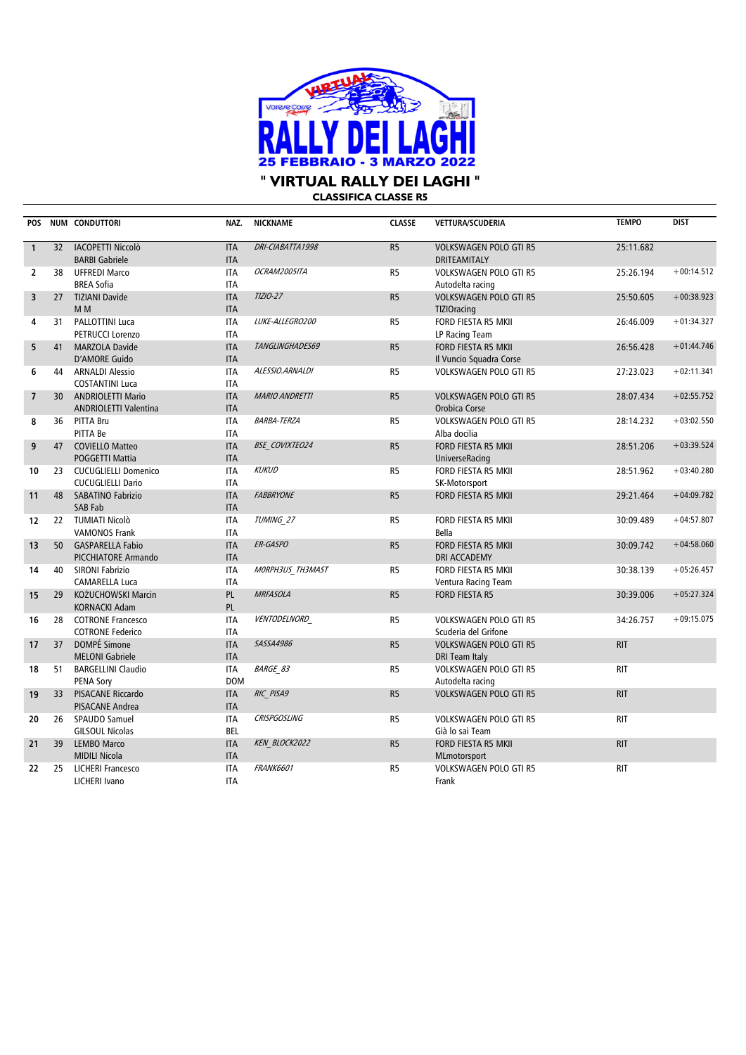

**" VIRTUAL RALLY DEI LAGHI "**

**CLASSIFICA CLASSE R5**

| POS                      |                 | NUM CONDUTTORI                                      | NAZ.                     | <b>NICKNAME</b>       | <b>CLASSE</b>  | <b>VETTURA/SCUDERIA</b>                               | <b>TEMPO</b> | <b>DIST</b>  |
|--------------------------|-----------------|-----------------------------------------------------|--------------------------|-----------------------|----------------|-------------------------------------------------------|--------------|--------------|
| $\mathbf{1}$             | 32              | <b>IACOPETTI Niccolò</b><br><b>BARBI Gabriele</b>   | <b>ITA</b><br><b>ITA</b> | DRI-CIABATTA1998      | R <sub>5</sub> | <b>VOLKSWAGEN POLO GTI R5</b><br><b>DRITEAMITALY</b>  | 25:11.682    |              |
| $\overline{2}$           | 38              | <b>UFFREDI Marco</b>                                | <b>ITA</b>               | OCRAM2005ITA          | R <sub>5</sub> | <b>VOLKSWAGEN POLO GTI R5</b>                         | 25:26.194    | $+00:14.512$ |
|                          |                 | <b>BREA Sofia</b>                                   | <b>ITA</b>               |                       |                | Autodelta racing                                      |              |              |
| 3                        | 27              | <b>TIZIANI Davide</b>                               | <b>ITA</b>               | TIZIO-27              | R <sub>5</sub> | <b>VOLKSWAGEN POLO GTI R5</b>                         | 25:50.605    | $+00:38.923$ |
|                          |                 | M <sub>M</sub>                                      | <b>ITA</b>               |                       |                | <b>TIZIOracing</b>                                    |              |              |
| 4                        | 31              | PALLOTTINI Luca                                     | <b>ITA</b>               | LUKE-ALLEGRO200       | R <sub>5</sub> | FORD FIESTA R5 MKII                                   | 26:46.009    | $+01:34.327$ |
|                          |                 | PETRUCCI Lorenzo                                    | <b>ITA</b>               |                       |                | LP Racing Team                                        |              |              |
| 5                        | 41              | <b>MARZOLA Davide</b>                               | <b>ITA</b>               | TANGLINGHADES69       | R <sub>5</sub> | FORD FIESTA R5 MKII                                   | 26:56.428    | $+01:44.746$ |
|                          |                 | <b>D'AMORE Guido</b>                                | <b>ITA</b>               |                       |                | Il Vuncio Squadra Corse                               |              |              |
| 6                        | 44              | <b>ARNALDI Alessio</b>                              | <b>ITA</b>               | ALESSIO.ARNALDI       | R5             | <b>VOLKSWAGEN POLO GTI R5</b>                         | 27:23.023    | $+02:11.341$ |
|                          |                 | <b>COSTANTINI Luca</b>                              | <b>ITA</b>               |                       |                |                                                       |              |              |
| $\overline{\phantom{a}}$ | 30              | <b>ANDRIOLETTI Mario</b>                            | <b>ITA</b>               | <b>MARIO ANDRETTI</b> | R <sub>5</sub> | <b>VOLKSWAGEN POLO GTI R5</b>                         | 28:07.434    | $+02:55.752$ |
|                          |                 | <b>ANDRIOLETTI Valentina</b>                        | <b>ITA</b>               |                       |                | Orobica Corse                                         |              |              |
| 8                        |                 | 36 PITTA Bru                                        | <b>ITA</b>               | <b>BARBA-TERZA</b>    | R5             | <b>VOLKSWAGEN POLO GTI R5</b>                         | 28:14.232    | $+03:02.550$ |
| 9                        | 47              | PITTA Be<br><b>COVIELLO Matteo</b>                  | <b>ITA</b><br><b>ITA</b> | <b>BSE COVIXTEO24</b> | R <sub>5</sub> | Alba docilia<br>FORD FIESTA R5 MKII                   | 28:51.206    | $+03:39.524$ |
|                          |                 | POGGETTI Mattia                                     | <b>ITA</b>               |                       |                | UniverseRacing                                        |              |              |
| 10                       | 23              | <b>CUCUGLIELLI Domenico</b>                         | <b>ITA</b>               | <b>KUKUD</b>          | R <sub>5</sub> | FORD FIESTA R5 MKII                                   | 28:51.962    | $+03:40.280$ |
|                          |                 | <b>CUCUGLIELLI Dario</b>                            | <b>ITA</b>               |                       |                | SK-Motorsport                                         |              |              |
| 11                       | 48              | <b>SABATINO Fabrizio</b>                            | <b>ITA</b>               | <b>FABBRYONE</b>      | R <sub>5</sub> | FORD FIESTA R5 MKII                                   | 29:21.464    | $+04:09.782$ |
|                          |                 | <b>SAB Fab</b>                                      | <b>ITA</b>               |                       |                |                                                       |              |              |
| 12                       |                 | 22 TUMIATI Nicolò                                   | <b>ITA</b>               | TUMING 27             | R <sub>5</sub> | FORD FIESTA R5 MKII                                   | 30:09.489    | $+04:57.807$ |
|                          |                 | <b>VAMONOS Frank</b>                                | <b>ITA</b>               |                       |                | Bella                                                 |              |              |
| 13                       | 50              | <b>GASPARELLA Fabio</b>                             | <b>ITA</b>               | ER-GASPO              | R <sub>5</sub> | FORD FIESTA R5 MKII                                   | 30:09.742    | $+04:58.060$ |
|                          |                 | PICCHIATORE Armando                                 | <b>ITA</b>               |                       |                | <b>DRI ACCADEMY</b>                                   |              |              |
| 14                       | 40              | <b>SIRONI Fabrizio</b>                              | <b>ITA</b>               | MORPH3US TH3MAST      | R5             | FORD FIESTA R5 MKII                                   | 30:38.139    | $+05:26.457$ |
|                          |                 | CAMARELLA Luca                                      | <b>ITA</b>               |                       |                | Ventura Racing Team                                   |              |              |
| 15                       | 29              | KOŻUCHOWSKI Marcin                                  | PL                       | <b>MRFASOLA</b>       | R5             | <b>FORD FIESTA R5</b>                                 | 30:39.006    | $+05:27.324$ |
|                          |                 | <b>KORNACKI Adam</b>                                | PL                       |                       |                |                                                       |              | $+09:15.075$ |
| 16                       | 28              | <b>COTRONE Francesco</b><br><b>COTRONE Federico</b> | <b>ITA</b><br><b>ITA</b> | VENTODELNORD          | R <sub>5</sub> | <b>VOLKSWAGEN POLO GTI R5</b><br>Scuderia del Grifone | 34:26.757    |              |
| 17                       | 37              | DOMPÉ Simone                                        | <b>ITA</b>               | SASSA4986             | R <sub>5</sub> | <b>VOLKSWAGEN POLO GTI R5</b>                         | <b>RIT</b>   |              |
|                          |                 | <b>MELONI Gabriele</b>                              | <b>ITA</b>               |                       |                | DRI Team Italy                                        |              |              |
| 18                       | 51              | <b>BARGELLINI Claudio</b>                           | <b>ITA</b>               | <b>BARGE 83</b>       | R <sub>5</sub> | <b>VOLKSWAGEN POLO GTI R5</b>                         | <b>RIT</b>   |              |
|                          |                 | <b>PENA Sory</b>                                    | <b>DOM</b>               |                       |                | Autodelta racing                                      |              |              |
| 19                       | 33 <sup>2</sup> | <b>PISACANE Riccardo</b>                            | <b>ITA</b>               | RIC PISA9             | R <sub>5</sub> | <b>VOLKSWAGEN POLO GTI R5</b>                         | <b>RIT</b>   |              |
|                          |                 | PISACANE Andrea                                     | <b>ITA</b>               |                       |                |                                                       |              |              |
| 20                       |                 | 26 SPAUDO Samuel                                    | <b>ITA</b>               | <b>CRISPGOSLING</b>   | R <sub>5</sub> | <b>VOLKSWAGEN POLO GTI R5</b>                         | <b>RIT</b>   |              |
|                          |                 | <b>GILSOUL Nicolas</b>                              | <b>BEL</b>               |                       |                | Già lo sai Team                                       |              |              |
| 21                       | 39              | <b>LEMBO Marco</b>                                  | <b>ITA</b>               | KEN BLOCK2022         | R <sub>5</sub> | FORD FIESTA R5 MKII                                   | <b>RIT</b>   |              |
|                          |                 | <b>MIDILI Nicola</b>                                | <b>ITA</b>               |                       |                | MLmotorsport                                          |              |              |
| 22                       | 25              | LICHERI Francesco                                   | <b>ITA</b>               | <b>FRANK6601</b>      | R <sub>5</sub> | <b>VOLKSWAGEN POLO GTI R5</b>                         | <b>RIT</b>   |              |
|                          |                 | <b>LICHERI Ivano</b>                                | <b>ITA</b>               |                       |                | Frank                                                 |              |              |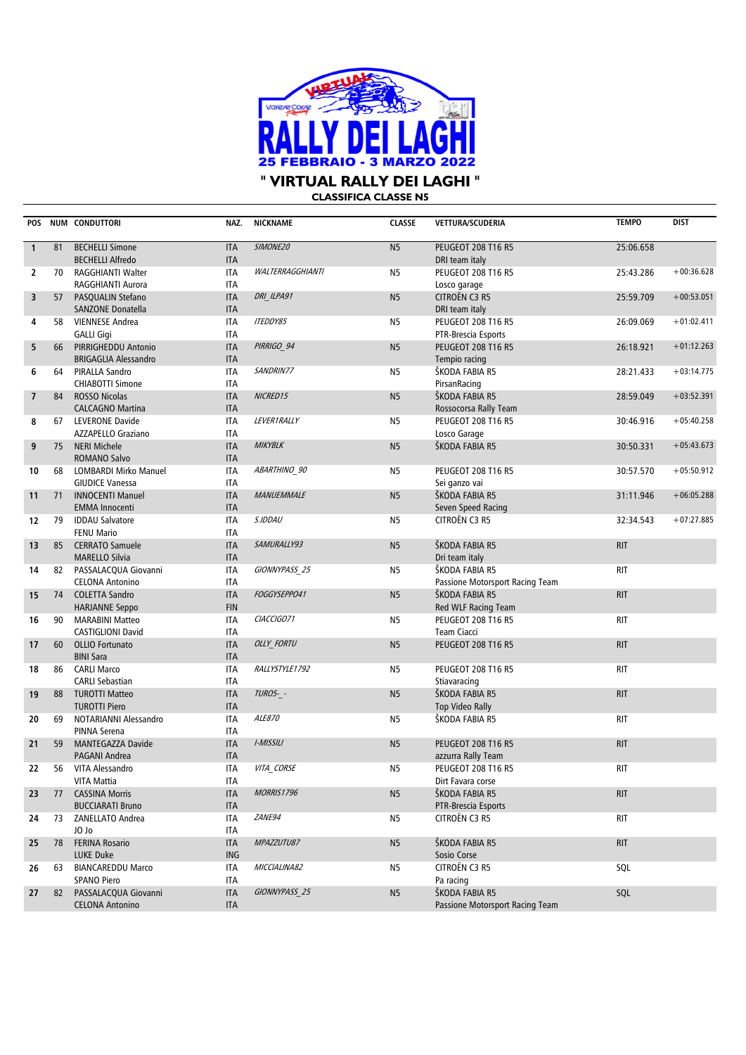

| <b>CLASSIFICA CLASSE N5</b> |
|-----------------------------|
|-----------------------------|

| <b>POS</b>               |    | NUM CONDUTTORI                                     | NAZ.                     | <b>NICKNAME</b>         | <b>CLASSE</b>  | VETTURA/SCUDERIA                                | <b>TEMPO</b> | <b>DIST</b>  |
|--------------------------|----|----------------------------------------------------|--------------------------|-------------------------|----------------|-------------------------------------------------|--------------|--------------|
| $\mathbf{1}$             | 81 | <b>BECHELLI Simone</b>                             | <b>ITA</b>               | SIMONE20                | N <sub>5</sub> | <b>PEUGEOT 208 T16 R5</b>                       | 25:06.658    |              |
|                          |    | <b>BECHELLI Alfredo</b>                            | <b>ITA</b>               |                         |                | DRI team italy                                  |              |              |
| $\overline{2}$           | 70 | RAGGHIANTI Walter                                  | <b>ITA</b>               | <b>WALTERRAGGHIANTI</b> | N <sub>5</sub> | <b>PEUGEOT 208 T16 R5</b>                       | 25:43.286    | $+00:36.628$ |
|                          |    | RAGGHIANTI Aurora                                  | <b>ITA</b>               |                         |                | Losco garage                                    |              |              |
| 3                        | 57 | PASQUALIN Stefano                                  | <b>ITA</b>               | DRI ILPA91              | N <sub>5</sub> | CITROËN C3 R5                                   | 25:59.709    | $+00:53.051$ |
|                          |    | <b>SANZONE Donatella</b>                           | <b>ITA</b>               |                         |                | DRI team italy                                  |              |              |
| 4                        | 58 | <b>VIENNESE Andrea</b>                             | <b>ITA</b>               | <b>ITEDDY85</b>         | N <sub>5</sub> | <b>PEUGEOT 208 T16 R5</b>                       | 26:09.069    | $+01:02.411$ |
|                          |    | <b>GALLI Gigi</b>                                  | <b>ITA</b>               |                         |                | PTR-Brescia Esports                             |              |              |
| 5                        | 66 | PIRRIGHEDDU Antonio                                | <b>ITA</b>               | PIRRIGO 94              | N <sub>5</sub> | <b>PEUGEOT 208 T16 R5</b>                       | 26:18.921    | $+01:12.263$ |
|                          |    | <b>BRIGAGLIA Alessandro</b>                        | <b>ITA</b>               |                         |                | Tempio racing                                   |              |              |
| 6                        | 64 | PIRALLA Sandro                                     | <b>ITA</b>               | SANDRIN77               | N <sub>5</sub> | ŠKODA FABIA R5                                  | 28:21.433    | $+03:14.775$ |
|                          |    | <b>CHIABOTTI Simone</b>                            | <b>ITA</b>               |                         |                | PirsanRacing                                    |              |              |
| $\overline{\phantom{a}}$ | 84 | <b>ROSSO Nicolas</b>                               | <b>ITA</b>               | NICRED15                | N <sub>5</sub> | ŠKODA FABIA R5                                  | 28:59.049    | $+03:52.391$ |
|                          |    | <b>CALCAGNO Martina</b>                            | <b>ITA</b>               |                         |                | Rossocorsa Rally Team                           |              |              |
| 8                        | 67 | LEVERONE Davide                                    | <b>ITA</b>               | LEVER1RALLY             | N <sub>5</sub> | <b>PEUGEOT 208 T16 R5</b>                       | 30:46.916    | $+05:40.258$ |
|                          |    | AZZAPELLO Graziano                                 | <b>ITA</b>               |                         |                | Losco Garage                                    |              |              |
| 9                        | 75 | <b>NERI Michele</b>                                | <b>ITA</b>               | <b>MIKYBLK</b>          | N <sub>5</sub> | ŠKODA FABIA R5                                  | 30:50.331    | $+05:43.673$ |
|                          |    | <b>ROMANO Salvo</b>                                | <b>ITA</b>               |                         |                |                                                 |              |              |
| 10                       | 68 | LOMBARDI Mirko Manuel                              | <b>ITA</b>               | ABARTHINO 90            | N <sub>5</sub> | <b>PEUGEOT 208 T16 R5</b>                       | 30:57.570    | $+05:50.912$ |
|                          |    | <b>GIUDICE Vanessa</b>                             | <b>ITA</b>               |                         |                | Sei ganzo vai                                   |              |              |
| 11                       | 71 | <b>INNOCENTI Manuel</b>                            | <b>ITA</b>               | <b>MANUEMMALE</b>       | N <sub>5</sub> | ŠKODA FABIA R5                                  | 31:11.946    | $+06:05.288$ |
|                          |    | <b>EMMA Innocenti</b>                              | <b>ITA</b>               |                         |                | Seven Speed Racing                              |              |              |
| 12                       | 79 | <b>IDDAU Salvatore</b>                             | <b>ITA</b>               | S.IDDAU                 | N <sub>5</sub> | CITROËN C3 R5                                   | 32:34.543    | $+07:27.885$ |
|                          |    | <b>FENU Mario</b>                                  | <b>ITA</b>               |                         |                |                                                 |              |              |
| 13                       | 85 | <b>CERRATO Samuele</b>                             | <b>ITA</b>               | SAMURALLY93             | N <sub>5</sub> | ŠKODA FABIA R5                                  | <b>RIT</b>   |              |
|                          |    | <b>MARELLO Silvia</b>                              | <b>ITA</b>               |                         |                | Dri team italy                                  |              |              |
| 14                       | 82 | PASSALACQUA Giovanni                               | <b>ITA</b>               | GIONNYPASS 25           | N <sub>5</sub> | ŠKODA FABIA R5                                  | <b>RIT</b>   |              |
|                          |    | <b>CELONA Antonino</b>                             | <b>ITA</b>               |                         |                | Passione Motorsport Racing Team                 |              |              |
| 15                       | 74 | <b>COLETTA Sandro</b>                              | <b>ITA</b><br><b>FIN</b> | FOGGYSEPPO41            | N <sub>5</sub> | ŠKODA FABIA R5                                  | <b>RIT</b>   |              |
|                          | 90 | <b>HARJANNE Seppo</b>                              |                          | CIACCIGO71              |                | Red WLF Racing Team                             |              |              |
| 16                       |    | <b>MARABINI Matteo</b><br><b>CASTIGLIONI David</b> | <b>ITA</b><br><b>ITA</b> |                         | N <sub>5</sub> | <b>PEUGEOT 208 T16 R5</b><br><b>Team Ciacci</b> | <b>RIT</b>   |              |
| 17                       | 60 | <b>OLLIO Fortunato</b>                             | <b>ITA</b>               | OLLY_FORTU              | N <sub>5</sub> | <b>PEUGEOT 208 T16 R5</b>                       | <b>RIT</b>   |              |
|                          |    | <b>BINI Sara</b>                                   | <b>ITA</b>               |                         |                |                                                 |              |              |
| 18                       | 86 | <b>CARLI Marco</b>                                 | <b>ITA</b>               | RALLYSTYLE1792          | N <sub>5</sub> | <b>PEUGEOT 208 T16 R5</b>                       | <b>RIT</b>   |              |
|                          |    | <b>CARLI Sebastian</b>                             | <b>ITA</b>               |                         |                | Stiavaracing                                    |              |              |
| 19                       | 88 | <b>TUROTTI Matteo</b>                              | <b>ITA</b>               | <b>TURO5- -</b>         | N <sub>5</sub> | ŠKODA FABIA R5                                  | <b>RIT</b>   |              |
|                          |    | <b>TUROTTI Piero</b>                               | <b>ITA</b>               |                         |                | <b>Top Video Rally</b>                          |              |              |
| 20                       | 69 | NOTARIANNI Alessandro                              | <b>ITA</b>               | ALE870                  | N <sub>5</sub> | ŠKODA FABIA R5                                  | <b>RIT</b>   |              |
|                          |    | PINNA Serena                                       | <b>ITA</b>               |                         |                |                                                 |              |              |
| 21                       | 59 | <b>MANTEGAZZA Davide</b>                           | <b>ITA</b>               | I-MISSILI               | N <sub>5</sub> | <b>PEUGEOT 208 T16 R5</b>                       | <b>RIT</b>   |              |
|                          |    | PAGANI Andrea                                      | <b>ITA</b>               |                         |                | azzurra Rally Team                              |              |              |
| 22                       | 56 | VITA Alessandro                                    | <b>ITA</b>               | VITA_CORSE              | N5             | <b>PEUGEOT 208 T16 R5</b>                       | RIT          |              |
|                          |    | VITA Mattia                                        | ITA                      |                         |                | Dirt Favara corse                               |              |              |
| 23                       | 77 | <b>CASSINA Morris</b>                              | <b>ITA</b>               | <b>MORRIS1796</b>       | N <sub>5</sub> | ŠKODA FABIA R5                                  | <b>RIT</b>   |              |
|                          |    | <b>BUCCIARATI Bruno</b>                            | <b>ITA</b>               |                         |                | PTR-Brescia Esports                             |              |              |
| 24                       | 73 | ZANELLATO Andrea                                   | ITA                      | ZANE94                  | N5             | CITROËN C3 R5                                   | <b>RIT</b>   |              |
|                          |    | JO Jo                                              | ITA                      |                         |                |                                                 |              |              |
| 25                       | 78 | <b>FERINA Rosario</b>                              | <b>ITA</b>               | MPAZZUTU87              | N <sub>5</sub> | ŠKODA FABIA R5                                  | <b>RIT</b>   |              |
|                          |    | <b>LUKE Duke</b>                                   | ING                      |                         |                | Sosio Corse                                     |              |              |
| 26                       | 63 | <b>BIANCAREDDU Marco</b>                           | ITA                      | MICCIALINA82            | N5             | CITROËN C3 R5                                   | SQL          |              |
|                          |    | <b>SPANO Piero</b>                                 | ITA                      |                         |                | Pa racing                                       |              |              |
| 27                       | 82 | PASSALACQUA Giovanni                               | <b>ITA</b>               | GIONNYPASS 25           | N <sub>5</sub> | ŠKODA FABIA R5                                  | SQL          |              |
|                          |    | <b>CELONA Antonino</b>                             | <b>ITA</b>               |                         |                | Passione Motorsport Racing Team                 |              |              |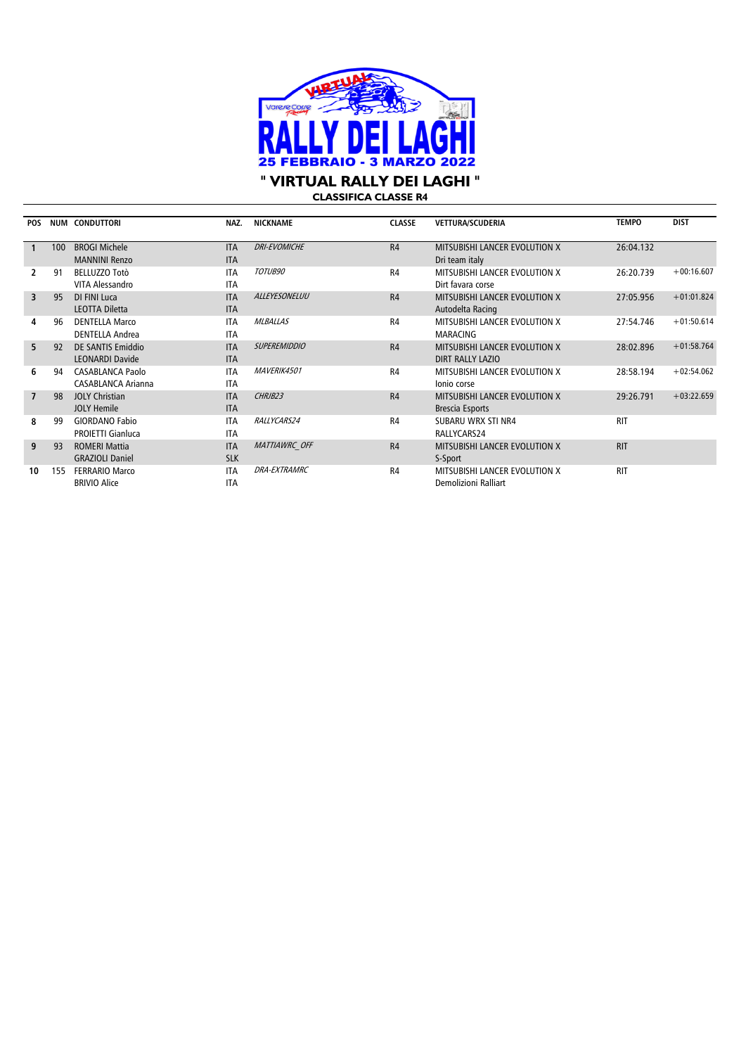

**" VIRTUAL RALLY DEI LAGHI "**

**CLASSIFICA CLASSE R4**

| <b>POS</b>     |     | NUM CONDUTTORI                                       | NAZ.                     | <b>NICKNAME</b>      | <b>CLASSE</b>  | VETTURA/SCUDERIA                                         | <b>TEMPO</b> | <b>DIST</b>  |
|----------------|-----|------------------------------------------------------|--------------------------|----------------------|----------------|----------------------------------------------------------|--------------|--------------|
|                | 100 | <b>BROGI Michele</b><br><b>MANNINI Renzo</b>         | <b>ITA</b><br><b>ITA</b> | <b>DRI-EVOMICHE</b>  | R4             | MITSUBISHI LANCER EVOLUTION X<br>Dri team italy          | 26:04.132    |              |
|                | 91  | <b>BELLUZZO Totò</b><br>VITA Alessandro              | <b>ITA</b><br><b>ITA</b> | TOTUB90              | R <sub>4</sub> | MITSUBISHI LANCER EVOLUTION X<br>Dirt favara corse       | 26:20.739    | $+00:16.607$ |
| 3              | 95  | DI FINI Luca<br><b>LEOTTA Diletta</b>                | <b>ITA</b><br><b>ITA</b> | ALLEYESONELUU        | R4             | MITSUBISHI LANCER EVOLUTION X<br>Autodelta Racing        | 27:05.956    | $+01:01.824$ |
| 4              | 96  | <b>DENTELLA Marco</b><br><b>DENTELLA Andrea</b>      | <b>ITA</b><br><b>ITA</b> | <b>MLBALLAS</b>      | R <sub>4</sub> | MITSUBISHI LANCER EVOLUTION X<br><b>MARACING</b>         | 27:54.746    | $+01:50.614$ |
| 5.             | 92  | <b>DE SANTIS Emiddio</b><br><b>LEONARDI Davide</b>   | <b>ITA</b><br><b>ITA</b> | <b>SUPEREMIDDIO</b>  | R4             | MITSUBISHI LANCER EVOLUTION X<br><b>DIRT RALLY LAZIO</b> | 28:02.896    | $+01:58.764$ |
| 6              | 94  | <b>CASABLANCA Paolo</b><br><b>CASABLANCA Arianna</b> | <b>ITA</b><br><b>ITA</b> | MAVERIK4501          | R4             | <b>MITSUBISHI LANCER EVOLUTION X</b><br>Ionio corse      | 28:58.194    | $+02:54.062$ |
| $\overline{7}$ | 98  | <b>JOLY Christian</b><br><b>JOLY Hemile</b>          | <b>ITA</b><br><b>ITA</b> | CHRJB23              | R4             | MITSUBISHI LANCER EVOLUTION X<br><b>Brescia Esports</b>  | 29:26.791    | $+03:22.659$ |
| 8              | 99  | <b>GIORDANO Fabio</b><br><b>PROIETTI Gianluca</b>    | <b>ITA</b><br><b>ITA</b> | RALLYCARS24          | R <sub>4</sub> | SUBARU WRX STI NR4<br>RALLYCARS24                        | <b>RIT</b>   |              |
| 9              | 93  | <b>ROMERI Mattia</b><br><b>GRAZIOLI Daniel</b>       | <b>ITA</b><br><b>SLK</b> | <b>MATTIAWRC OFF</b> | R <sub>4</sub> | MITSUBISHI LANCER EVOLUTION X<br>S-Sport                 | <b>RIT</b>   |              |
| 10             | 155 | <b>FERRARIO Marco</b><br><b>BRIVIO Alice</b>         | <b>ITA</b><br><b>ITA</b> | <b>DRA-EXTRAMRC</b>  | R <sub>4</sub> | MITSUBISHI LANCER EVOLUTION X<br>Demolizioni Ralliart    | <b>RIT</b>   |              |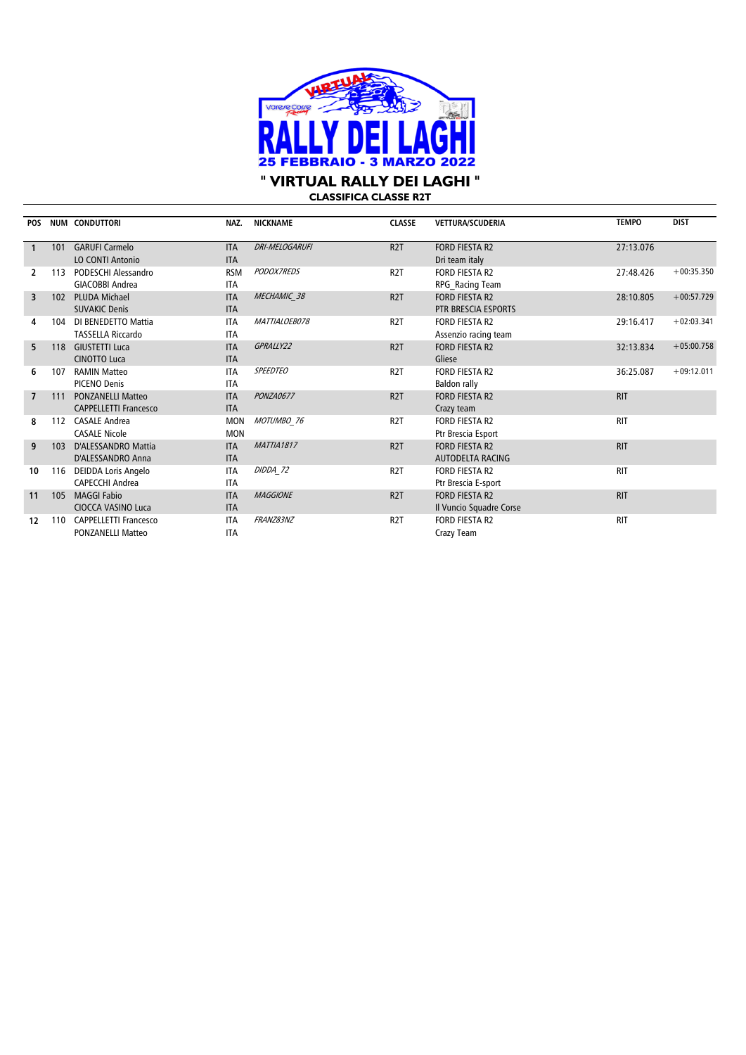

**CLASSIFICA CLASSE R2T**

| <b>POS</b>     |     | NUM CONDUTTORI               | NAZ.       | <b>NICKNAME</b>       | <b>CLASSE</b>    | <b>VETTURA/SCUDERIA</b> | <b>TEMPO</b> | <b>DIST</b>  |
|----------------|-----|------------------------------|------------|-----------------------|------------------|-------------------------|--------------|--------------|
|                | 101 | <b>GARUFI Carmelo</b>        | <b>ITA</b> | <b>DRI-MELOGARUFI</b> | R <sub>2</sub> T | <b>FORD FIESTA R2</b>   | 27:13.076    |              |
|                |     | <b>LO CONTI Antonio</b>      | <b>ITA</b> |                       |                  | Dri team italy          |              |              |
| 2              | 113 | PODESCHI Alessandro          | <b>RSM</b> | PODOX7REDS            | R <sub>2</sub> T | <b>FORD FIESTA R2</b>   | 27:48.426    | $+00:35.350$ |
|                |     | <b>GIACOBBI Andrea</b>       | <b>ITA</b> |                       |                  | RPG Racing Team         |              |              |
| 3              | 102 | PLUDA Michael                | <b>ITA</b> | MECHAMIC 38           | R <sub>2</sub> T | FORD FIESTA R2          | 28:10.805    | $+00:57.729$ |
|                |     | <b>SUVAKIC Denis</b>         | <b>ITA</b> |                       |                  | PTR BRESCIA ESPORTS     |              |              |
| 4              | 104 | DI BENEDETTO Mattia          | <b>ITA</b> | MATTIALOEB078         | R <sub>2</sub> T | <b>FORD FIESTA R2</b>   | 29:16.417    | $+02:03.341$ |
|                |     | <b>TASSELLA Riccardo</b>     | <b>ITA</b> |                       |                  | Assenzio racing team    |              |              |
| 5.             | 118 | <b>GIUSTETTI Luca</b>        | <b>ITA</b> | GPRALLY22             | R <sub>2</sub> T | <b>FORD FIESTA R2</b>   | 32:13.834    | $+05:00.758$ |
|                |     | <b>CINOTTO Luca</b>          | <b>ITA</b> |                       |                  | Gliese                  |              |              |
| 6              | 107 | <b>RAMIN Matteo</b>          | <b>ITA</b> | <b>SPEEDTEO</b>       | R <sub>2</sub> T | <b>FORD FIESTA R2</b>   | 36:25.087    | $+09:12.011$ |
|                |     | <b>PICENO Denis</b>          | <b>ITA</b> |                       |                  | Baldon rally            |              |              |
| $\overline{7}$ | 111 | <b>PONZANELLI Matteo</b>     | <b>ITA</b> | PONZA0677             | R <sub>2</sub> T | <b>FORD FIESTA R2</b>   | <b>RIT</b>   |              |
|                |     | <b>CAPPELLETTI Francesco</b> | <b>ITA</b> |                       |                  | Crazy team              |              |              |
| 8              | 112 | <b>CASALE Andrea</b>         | <b>MON</b> | MOTUMBO 76            | R <sub>2</sub> T | <b>FORD FIESTA R2</b>   | <b>RIT</b>   |              |
|                |     | <b>CASALE Nicole</b>         | <b>MON</b> |                       |                  | Ptr Brescia Esport      |              |              |
| 9              | 103 | D'ALESSANDRO Mattia          | <b>ITA</b> | <b>MATTIA1817</b>     | R <sub>2</sub> T | <b>FORD FIESTA R2</b>   | <b>RIT</b>   |              |
|                |     | D'ALESSANDRO Anna            | <b>ITA</b> |                       |                  | <b>AUTODELTA RACING</b> |              |              |
| 10             | 116 | DEIDDA Loris Angelo          | <b>ITA</b> | DIDDA 72              | R <sub>2</sub> T | <b>FORD FIESTA R2</b>   | <b>RIT</b>   |              |
|                |     | <b>CAPECCHI Andrea</b>       | <b>ITA</b> |                       |                  | Ptr Brescia E-sport     |              |              |
| 11             | 105 | <b>MAGGI Fabio</b>           | <b>ITA</b> | <b>MAGGIONE</b>       | R <sub>2</sub> T | <b>FORD FIESTA R2</b>   | <b>RIT</b>   |              |
|                |     | <b>CIOCCA VASINO Luca</b>    | <b>ITA</b> |                       |                  | Il Vuncio Squadre Corse |              |              |
| 12             | 110 | <b>CAPPELLETTI Francesco</b> | <b>ITA</b> | FRANZ83NZ             | R <sub>2</sub> T | <b>FORD FIESTA R2</b>   | <b>RIT</b>   |              |
|                |     | <b>PONZANELLI Matteo</b>     | <b>ITA</b> |                       |                  | Crazy Team              |              |              |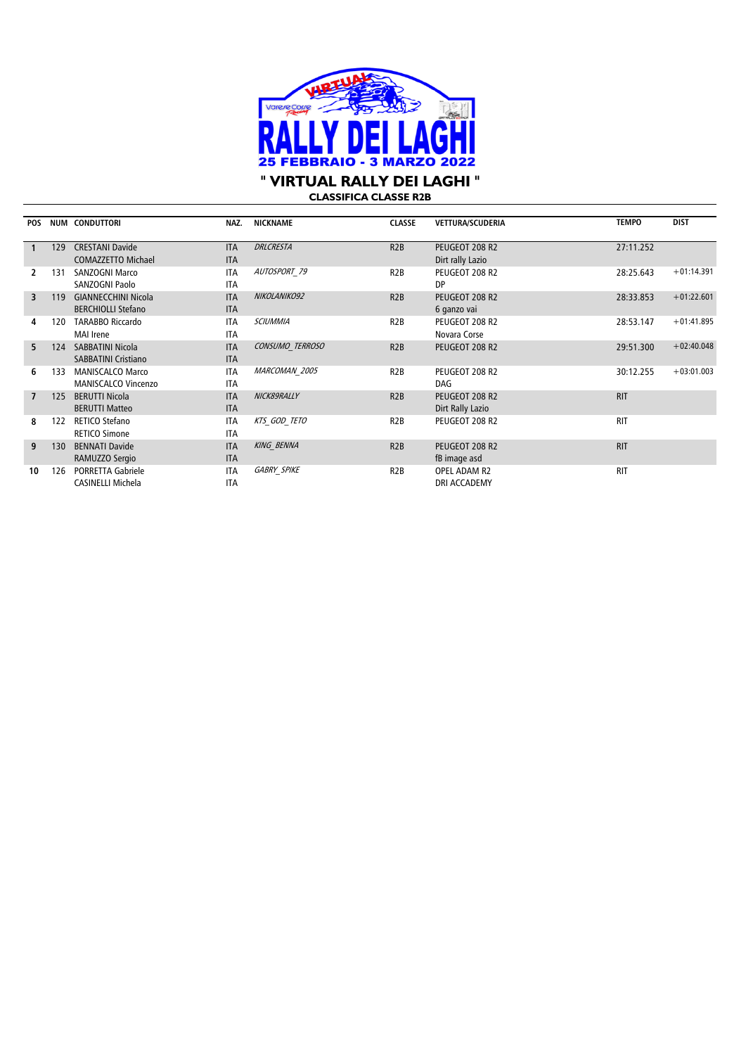

**CLASSIFICA CLASSE R2B** 

| <b>POS</b>     |     | <b>NUM CONDUTTORI</b>                                   | NAZ.                     | <b>NICKNAME</b>    | <b>CLASSE</b>    | <b>VETTURA/SCUDERIA</b>            | <b>TEMPO</b> | <b>DIST</b>  |
|----------------|-----|---------------------------------------------------------|--------------------------|--------------------|------------------|------------------------------------|--------------|--------------|
|                | 129 | <b>CRESTANI Davide</b><br><b>COMAZZETTO Michael</b>     | <b>ITA</b><br><b>ITA</b> | <b>DRLCRESTA</b>   | R2B              | PEUGEOT 208 R2<br>Dirt rally Lazio | 27:11.252    |              |
| 2              | 131 | <b>SANZOGNI Marco</b><br>SANZOGNI Paolo                 | <b>ITA</b><br><b>ITA</b> | AUTOSPORT 79       | R <sub>2</sub> B | PEUGEOT 208 R2<br>DP.              | 28:25.643    | $+01:14.391$ |
| 3              | 119 | <b>GIANNECCHINI Nicola</b><br><b>BERCHIOLLI Stefano</b> | <b>ITA</b><br><b>ITA</b> | NIKOLANIKO92       | R2B              | PEUGEOT 208 R2<br>6 ganzo vai      | 28:33.853    | $+01:22.601$ |
| 4              | 120 | <b>TARABBO Riccardo</b><br><b>MAI</b> Irene             | <b>ITA</b><br><b>ITA</b> | <b>SCIUMMIA</b>    | R <sub>2</sub> B | PEUGEOT 208 R2<br>Novara Corse     | 28:53.147    | $+01:41.895$ |
| 5.             | 124 | <b>SABBATINI Nicola</b><br><b>SABBATINI Cristiano</b>   | <b>ITA</b><br><b>ITA</b> | CONSUMO TERROSO    | R2B              | PEUGEOT 208 R2                     | 29:51.300    | $+02:40.048$ |
| 6              | 133 | <b>MANISCALCO Marco</b><br><b>MANISCALCO Vincenzo</b>   | <b>ITA</b><br><b>ITA</b> | MARCOMAN 2005      | R <sub>2</sub> B | PEUGEOT 208 R2<br>DAG              | 30:12.255    | $+03:01.003$ |
| $\overline{7}$ | 125 | <b>BERUTTI Nicola</b><br><b>BERUTTI Matteo</b>          | <b>ITA</b><br><b>ITA</b> | NICK89RALLY        | R <sub>2</sub> B | PEUGEOT 208 R2<br>Dirt Rally Lazio | <b>RIT</b>   |              |
| 8              | 122 | RETICO Stefano<br><b>RETICO Simone</b>                  | <b>ITA</b><br><b>ITA</b> | KTS GOD TETO       | R2B              | PEUGEOT 208 R2                     | <b>RIT</b>   |              |
| 9              | 130 | <b>BENNATI Davide</b><br>RAMUZZO Sergio                 | <b>ITA</b><br><b>ITA</b> | <b>KING BENNA</b>  | R2B              | PEUGEOT 208 R2<br>fB image asd     | <b>RIT</b>   |              |
| 10             | 126 | <b>PORRETTA Gabriele</b><br>CASINELLI Michela           | <b>ITA</b><br><b>ITA</b> | <b>GABRY SPIKE</b> | R <sub>2</sub> B | OPEL ADAM R2<br>DRI ACCADEMY       | <b>RIT</b>   |              |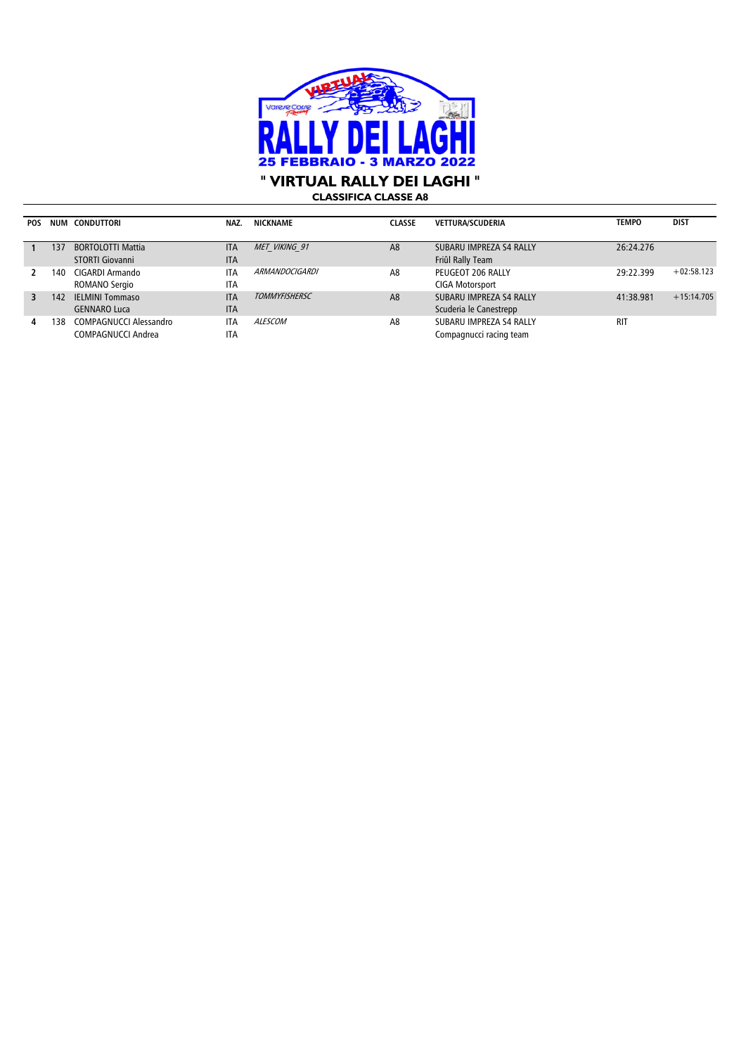

**CLASSIFICA CLASSE A8**

| POS |     | NUM CONDUTTORI           | NAZ.       | NICKNAME             | <b>CLASSE</b>  | <b>VETTURA/SCUDERIA</b> | <b>TEMPO</b> | <b>DIST</b>  |
|-----|-----|--------------------------|------------|----------------------|----------------|-------------------------|--------------|--------------|
|     |     |                          |            |                      |                |                         |              |              |
|     | 137 | <b>BORTOLOTTI Mattia</b> | <b>ITA</b> | MET VIKING 91        | A <sub>8</sub> | SUBARU IMPREZA S4 RALLY | 26:24.276    |              |
|     |     | <b>STORTI Giovanni</b>   | <b>ITA</b> |                      |                | Friûl Rally Team        |              |              |
|     | 140 | CIGARDI Armando          | <b>ITA</b> | ARMANDOCIGARDI       | A <sub>8</sub> | PEUGEOT 206 RALLY       | 29:22.399    | $+02:58.123$ |
|     |     | ROMANO Sergio            | <b>ITA</b> |                      |                | <b>CIGA Motorsport</b>  |              |              |
| 3   | 142 | <b>IELMINI Tommaso</b>   | <b>ITA</b> | <b>TOMMYFISHERSC</b> | A <sub>8</sub> | SUBARU IMPREZA S4 RALLY | 41:38.981    | $+15:14.705$ |
|     |     | <b>GENNARO Luca</b>      | <b>ITA</b> |                      |                | Scuderia le Canestrepp  |              |              |
| 4   | 138 | COMPAGNUCCI Alessandro   | <b>ITA</b> | <i>ALESCOM</i>       | A8             | SUBARU IMPREZA S4 RALLY | <b>RIT</b>   |              |
|     |     | COMPAGNUCCI Andrea       | <b>ITA</b> |                      |                | Compagnucci racing team |              |              |